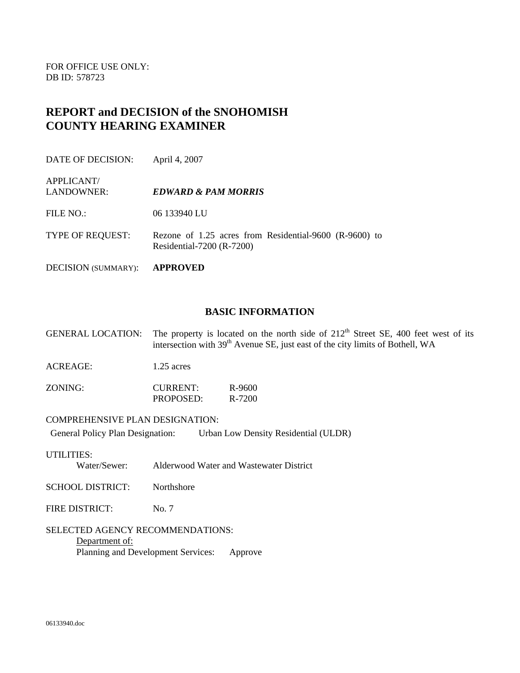FOR OFFICE USE ONLY: DB ID: 578723

APPLICANT/

# **REPORT and DECISION of the SNOHOMISH COUNTY HEARING EXAMINER**

DATE OF DECISION: April 4, 2007

### LANDOWNER: *EDWARD & PAM MORRIS*

FILE NO.: 06 133940 LU

TYPE OF REQUEST: Rezone of 1.25 acres from Residential-9600 (R-9600) to Residential-7200 (R-7200)

DECISION (SUMMARY): **APPROVED** 

#### **BASIC INFORMATION**

GENERAL LOCATION: The property is located on the north side of  $212<sup>th</sup>$  Street SE, 400 feet west of its intersection with 39<sup>th</sup> Avenue SE, just east of the city limits of Bothell, WA

ACREAGE: 1.25 acres

| ZONING: | <b>CURRENT:</b> | R-9600 |
|---------|-----------------|--------|
|         | PROPOSED:       | R-7200 |

#### COMPREHENSIVE PLAN DESIGNATION:

General Policy Plan Designation: Urban Low Density Residential (ULDR)

#### UTILITIES:

Water/Sewer: Alderwood Water and Wastewater District

SCHOOL DISTRICT: Northshore

FIRE DISTRICT: No. 7

#### SELECTED AGENCY RECOMMENDATIONS: Department of: Planning and Development Services: Approve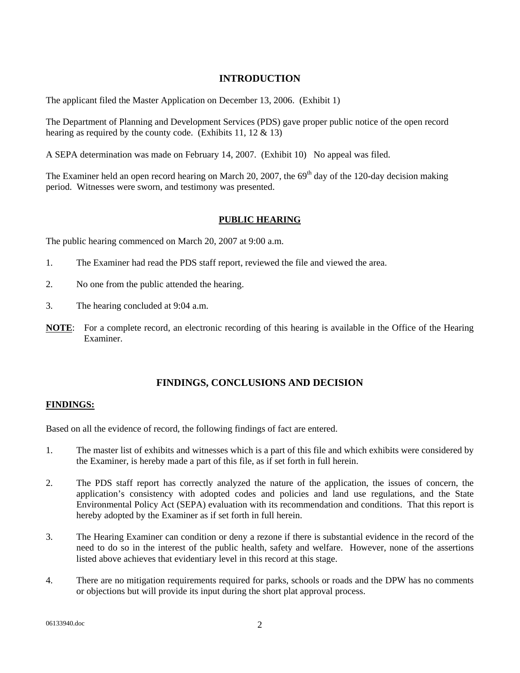## **INTRODUCTION**

The applicant filed the Master Application on December 13, 2006. (Exhibit 1)

The Department of Planning and Development Services (PDS) gave proper public notice of the open record hearing as required by the county code. (Exhibits 11, 12  $\&$  13)

A SEPA determination was made on February 14, 2007. (Exhibit 10) No appeal was filed.

The Examiner held an open record hearing on March 20, 2007, the  $69<sup>th</sup>$  day of the 120-day decision making period. Witnesses were sworn, and testimony was presented.

#### **PUBLIC HEARING**

The public hearing commenced on March 20, 2007 at 9:00 a.m.

- 1. The Examiner had read the PDS staff report, reviewed the file and viewed the area.
- 2. No one from the public attended the hearing.
- 3. The hearing concluded at 9:04 a.m.
- **NOTE**: For a complete record, an electronic recording of this hearing is available in the Office of the Hearing Examiner.

### **FINDINGS, CONCLUSIONS AND DECISION**

#### **FINDINGS:**

Based on all the evidence of record, the following findings of fact are entered.

- 1. The master list of exhibits and witnesses which is a part of this file and which exhibits were considered by the Examiner, is hereby made a part of this file, as if set forth in full herein.
- 2. The PDS staff report has correctly analyzed the nature of the application, the issues of concern, the application's consistency with adopted codes and policies and land use regulations, and the State Environmental Policy Act (SEPA) evaluation with its recommendation and conditions. That this report is hereby adopted by the Examiner as if set forth in full herein.
- 3. The Hearing Examiner can condition or deny a rezone if there is substantial evidence in the record of the need to do so in the interest of the public health, safety and welfare. However, none of the assertions listed above achieves that evidentiary level in this record at this stage.
- 4. There are no mitigation requirements required for parks, schools or roads and the DPW has no comments or objections but will provide its input during the short plat approval process.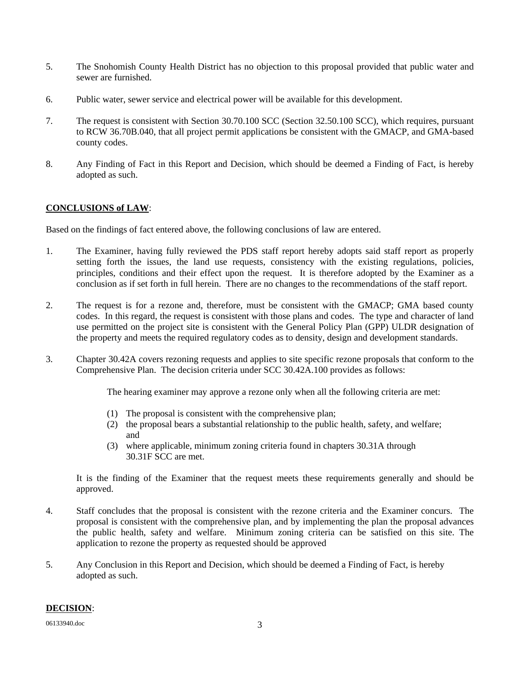- 5. The Snohomish County Health District has no objection to this proposal provided that public water and sewer are furnished.
- 6. Public water, sewer service and electrical power will be available for this development.
- 7. The request is consistent with Section 30.70.100 SCC (Section 32.50.100 SCC), which requires, pursuant to RCW 36.70B.040, that all project permit applications be consistent with the GMACP, and GMA-based county codes.
- 8. Any Finding of Fact in this Report and Decision, which should be deemed a Finding of Fact, is hereby adopted as such.

## **CONCLUSIONS of LAW**:

Based on the findings of fact entered above, the following conclusions of law are entered.

- 1. The Examiner, having fully reviewed the PDS staff report hereby adopts said staff report as properly setting forth the issues, the land use requests, consistency with the existing regulations, policies, principles, conditions and their effect upon the request. It is therefore adopted by the Examiner as a conclusion as if set forth in full herein. There are no changes to the recommendations of the staff report.
- 2. The request is for a rezone and, therefore, must be consistent with the GMACP; GMA based county codes. In this regard, the request is consistent with those plans and codes. The type and character of land use permitted on the project site is consistent with the General Policy Plan (GPP) ULDR designation of the property and meets the required regulatory codes as to density, design and development standards.
- 3. Chapter 30.42A covers rezoning requests and applies to site specific rezone proposals that conform to the Comprehensive Plan. The decision criteria under SCC 30.42A.100 provides as follows:

The hearing examiner may approve a rezone only when all the following criteria are met:

- (1) The proposal is consistent with the comprehensive plan;
- (2) the proposal bears a substantial relationship to the public health, safety, and welfare; and
- (3) where applicable, minimum zoning criteria found in chapters 30.31A through 30.31F SCC are met.

 It is the finding of the Examiner that the request meets these requirements generally and should be approved.

- 4. Staff concludes that the proposal is consistent with the rezone criteria and the Examiner concurs. The proposal is consistent with the comprehensive plan, and by implementing the plan the proposal advances the public health, safety and welfare. Minimum zoning criteria can be satisfied on this site. The application to rezone the property as requested should be approved
- 5. Any Conclusion in this Report and Decision, which should be deemed a Finding of Fact, is hereby adopted as such.

## **DECISION**: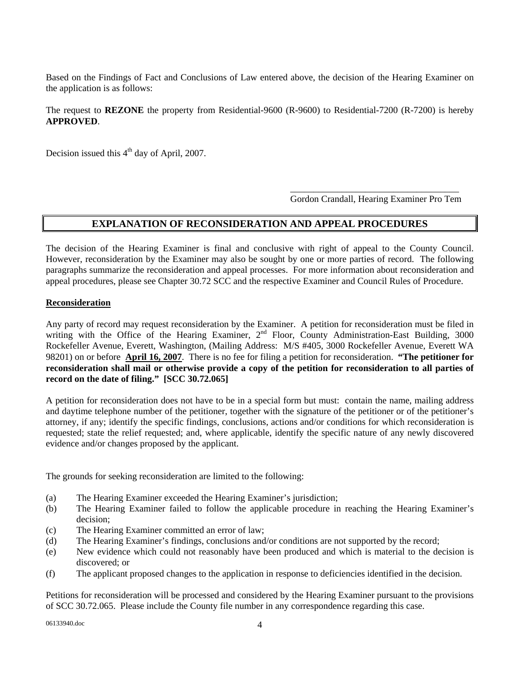Based on the Findings of Fact and Conclusions of Law entered above, the decision of the Hearing Examiner on the application is as follows:

The request to **REZONE** the property from Residential-9600 (R-9600) to Residential-7200 (R-7200) is hereby **APPROVED**.

Decision issued this  $4<sup>th</sup>$  day of April, 2007.

Gordon Crandall, Hearing Examiner Pro Tem

## **EXPLANATION OF RECONSIDERATION AND APPEAL PROCEDURES**

 $\overline{\phantom{a}}$  ,  $\overline{\phantom{a}}$  ,  $\overline{\phantom{a}}$  ,  $\overline{\phantom{a}}$  ,  $\overline{\phantom{a}}$  ,  $\overline{\phantom{a}}$  ,  $\overline{\phantom{a}}$  ,  $\overline{\phantom{a}}$  ,  $\overline{\phantom{a}}$  ,  $\overline{\phantom{a}}$  ,  $\overline{\phantom{a}}$  ,  $\overline{\phantom{a}}$  ,  $\overline{\phantom{a}}$  ,  $\overline{\phantom{a}}$  ,  $\overline{\phantom{a}}$  ,  $\overline{\phantom{a}}$ 

The decision of the Hearing Examiner is final and conclusive with right of appeal to the County Council. However, reconsideration by the Examiner may also be sought by one or more parties of record. The following paragraphs summarize the reconsideration and appeal processes. For more information about reconsideration and appeal procedures, please see Chapter 30.72 SCC and the respective Examiner and Council Rules of Procedure.

### **Reconsideration**

Any party of record may request reconsideration by the Examiner. A petition for reconsideration must be filed in writing with the Office of the Hearing Examiner, 2<sup>nd</sup> Floor, County Administration-East Building, 3000 Rockefeller Avenue, Everett, Washington, (Mailing Address: M/S #405, 3000 Rockefeller Avenue, Everett WA 98201) on or before **April 16, 2007**. There is no fee for filing a petition for reconsideration. **"The petitioner for reconsideration shall mail or otherwise provide a copy of the petition for reconsideration to all parties of record on the date of filing." [SCC 30.72.065]**

A petition for reconsideration does not have to be in a special form but must: contain the name, mailing address and daytime telephone number of the petitioner, together with the signature of the petitioner or of the petitioner's attorney, if any; identify the specific findings, conclusions, actions and/or conditions for which reconsideration is requested; state the relief requested; and, where applicable, identify the specific nature of any newly discovered evidence and/or changes proposed by the applicant.

The grounds for seeking reconsideration are limited to the following:

- (a) The Hearing Examiner exceeded the Hearing Examiner's jurisdiction;
- (b) The Hearing Examiner failed to follow the applicable procedure in reaching the Hearing Examiner's decision;
- (c) The Hearing Examiner committed an error of law;
- (d) The Hearing Examiner's findings, conclusions and/or conditions are not supported by the record;
- (e) New evidence which could not reasonably have been produced and which is material to the decision is discovered; or
- (f) The applicant proposed changes to the application in response to deficiencies identified in the decision.

Petitions for reconsideration will be processed and considered by the Hearing Examiner pursuant to the provisions of SCC 30.72.065. Please include the County file number in any correspondence regarding this case.

06133940.doc 4